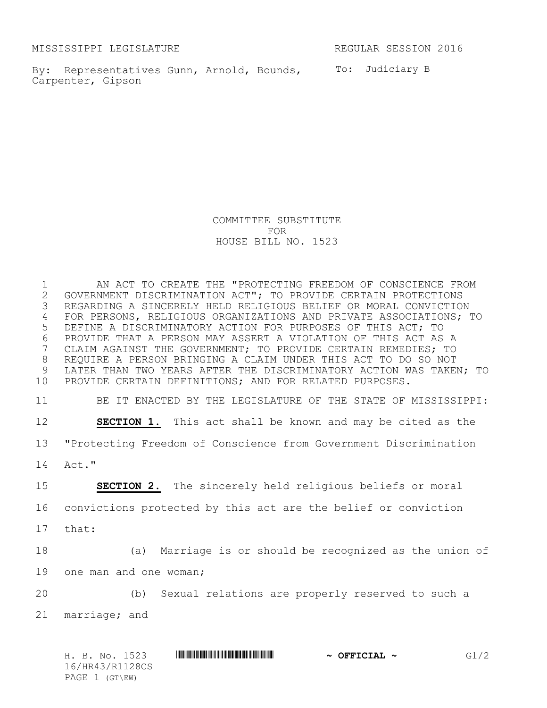MISSISSIPPI LEGISLATURE REGULAR SESSION 2016

By: Representatives Gunn, Arnold, Bounds, To: Judiciary B Carpenter, Gipson

COMMITTEE SUBSTITUTE FOR HOUSE BILL NO. 1523

 AN ACT TO CREATE THE "PROTECTING FREEDOM OF CONSCIENCE FROM 2 GOVERNMENT DISCRIMINATION ACT"; TO PROVIDE CERTAIN PROTECTIONS<br>3 REGARDING A SINCERELY HELD RELIGIOUS BELIEF OR MORAL CONVICTIOI REGARDING A SINCERELY HELD RELIGIOUS BELIEF OR MORAL CONVICTION FOR PERSONS, RELIGIOUS ORGANIZATIONS AND PRIVATE ASSOCIATIONS; TO DEFINE A DISCRIMINATORY ACTION FOR PURPOSES OF THIS ACT; TO 6 PROVIDE THAT A PERSON MAY ASSERT A VIOLATION OF THIS ACT AS A<br>7 CLAIM AGAINST THE GOVERNMENT; TO PROVIDE CERTAIN REMEDIES; TO CLAIM AGAINST THE GOVERNMENT; TO PROVIDE CERTAIN REMEDIES; TO REQUIRE A PERSON BRINGING A CLAIM UNDER THIS ACT TO DO SO NOT LATER THAN TWO YEARS AFTER THE DISCRIMINATORY ACTION WAS TAKEN; TO PROVIDE CERTAIN DEFINITIONS; AND FOR RELATED PURPOSES.

11 BE IT ENACTED BY THE LEGISLATURE OF THE STATE OF MISSISSIPPI:

12 **SECTION 1.** This act shall be known and may be cited as the 13 "Protecting Freedom of Conscience from Government Discrimination 14 Act."

15 **SECTION 2.** The sincerely held religious beliefs or moral 16 convictions protected by this act are the belief or conviction

17 that:

18 (a) Marriage is or should be recognized as the union of 19 one man and one woman;

20 (b) Sexual relations are properly reserved to such a 21 marriage; and

H. B. No. 1523 \*HR43/R1128CS\* **~ OFFICIAL ~** G1/2 16/HR43/R1128CS PAGE 1 (GT\EW)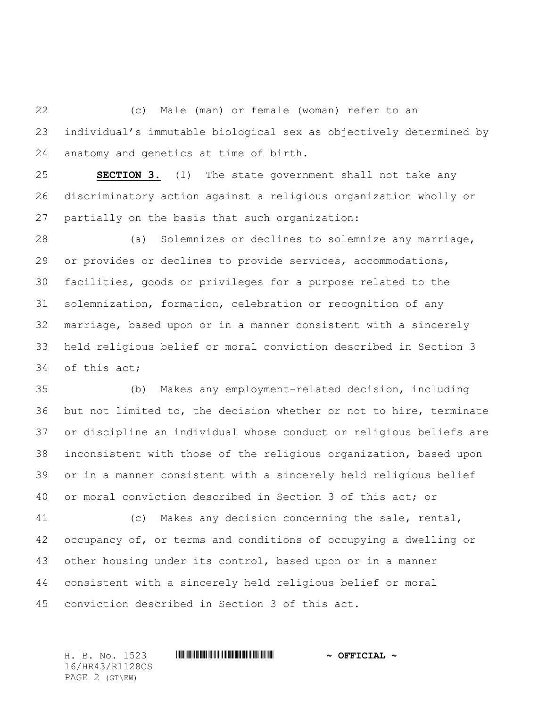(c) Male (man) or female (woman) refer to an individual's immutable biological sex as objectively determined by anatomy and genetics at time of birth.

 **SECTION 3.** (1) The state government shall not take any discriminatory action against a religious organization wholly or partially on the basis that such organization:

 (a) Solemnizes or declines to solemnize any marriage, or provides or declines to provide services, accommodations, facilities, goods or privileges for a purpose related to the solemnization, formation, celebration or recognition of any marriage, based upon or in a manner consistent with a sincerely held religious belief or moral conviction described in Section 3 of this act;

 (b) Makes any employment-related decision, including but not limited to, the decision whether or not to hire, terminate or discipline an individual whose conduct or religious beliefs are inconsistent with those of the religious organization, based upon or in a manner consistent with a sincerely held religious belief or moral conviction described in Section 3 of this act; or

 (c) Makes any decision concerning the sale, rental, occupancy of, or terms and conditions of occupying a dwelling or other housing under its control, based upon or in a manner consistent with a sincerely held religious belief or moral conviction described in Section 3 of this act.

H. B. No. 1523 \*HR43/R1128CS\* **~ OFFICIAL ~** 16/HR43/R1128CS PAGE 2 (GT\EW)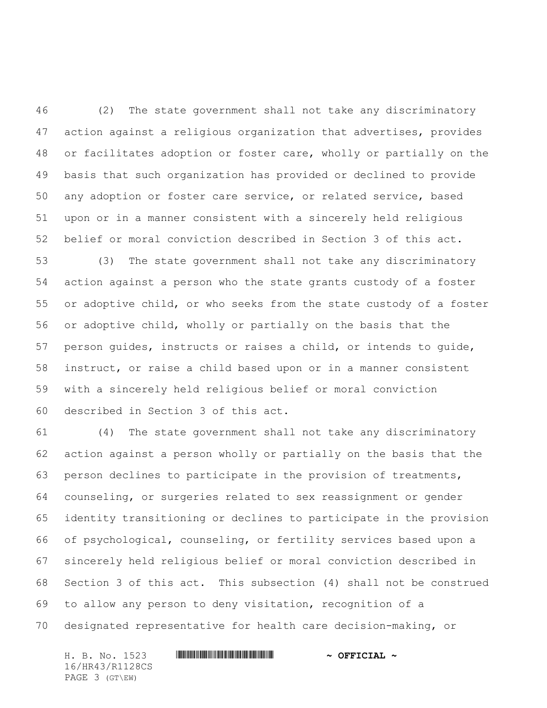(2) The state government shall not take any discriminatory action against a religious organization that advertises, provides or facilitates adoption or foster care, wholly or partially on the basis that such organization has provided or declined to provide any adoption or foster care service, or related service, based upon or in a manner consistent with a sincerely held religious belief or moral conviction described in Section 3 of this act.

 (3) The state government shall not take any discriminatory action against a person who the state grants custody of a foster or adoptive child, or who seeks from the state custody of a foster or adoptive child, wholly or partially on the basis that the person guides, instructs or raises a child, or intends to guide, instruct, or raise a child based upon or in a manner consistent with a sincerely held religious belief or moral conviction described in Section 3 of this act.

 (4) The state government shall not take any discriminatory action against a person wholly or partially on the basis that the person declines to participate in the provision of treatments, counseling, or surgeries related to sex reassignment or gender identity transitioning or declines to participate in the provision of psychological, counseling, or fertility services based upon a sincerely held religious belief or moral conviction described in Section 3 of this act. This subsection (4) shall not be construed to allow any person to deny visitation, recognition of a designated representative for health care decision-making, or

H. B. No. 1523 **. WALLER WEIGHT AND ALL AND A STATE OF PETCIAL ~** 16/HR43/R1128CS PAGE 3 (GT\EW)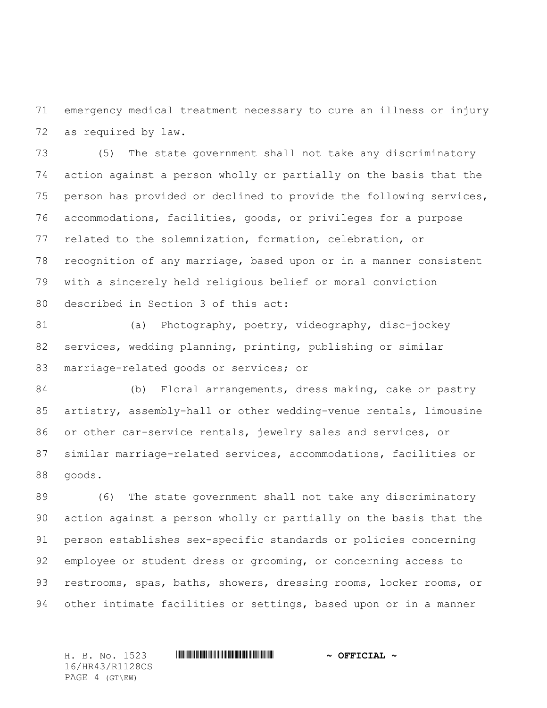emergency medical treatment necessary to cure an illness or injury as required by law.

 (5) The state government shall not take any discriminatory action against a person wholly or partially on the basis that the person has provided or declined to provide the following services, accommodations, facilities, goods, or privileges for a purpose related to the solemnization, formation, celebration, or recognition of any marriage, based upon or in a manner consistent with a sincerely held religious belief or moral conviction described in Section 3 of this act:

81 (a) Photography, poetry, videography, disc-jockey services, wedding planning, printing, publishing or similar marriage-related goods or services; or

 (b) Floral arrangements, dress making, cake or pastry artistry, assembly-hall or other wedding-venue rentals, limousine or other car-service rentals, jewelry sales and services, or similar marriage-related services, accommodations, facilities or goods.

 (6) The state government shall not take any discriminatory action against a person wholly or partially on the basis that the person establishes sex-specific standards or policies concerning employee or student dress or grooming, or concerning access to restrooms, spas, baths, showers, dressing rooms, locker rooms, or other intimate facilities or settings, based upon or in a manner

16/HR43/R1128CS PAGE 4 (GT\EW)

H. B. No. 1523 \*HR43/R1128CS\* **~ OFFICIAL ~**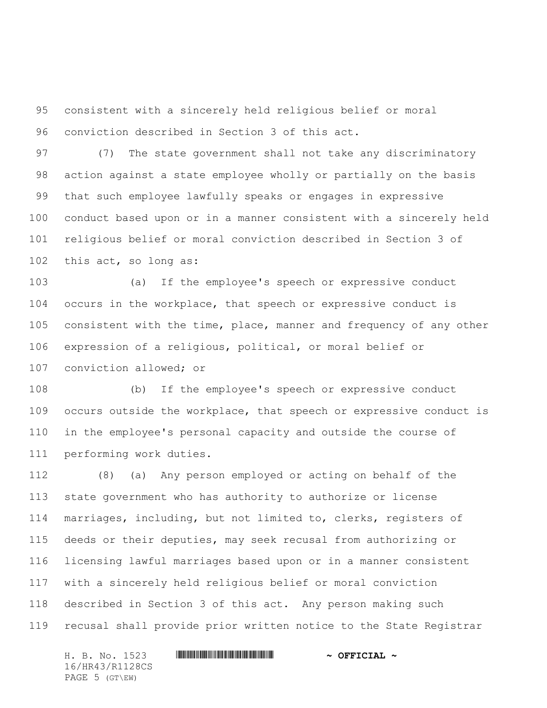consistent with a sincerely held religious belief or moral conviction described in Section 3 of this act.

 (7) The state government shall not take any discriminatory action against a state employee wholly or partially on the basis that such employee lawfully speaks or engages in expressive conduct based upon or in a manner consistent with a sincerely held religious belief or moral conviction described in Section 3 of this act, so long as:

 (a) If the employee's speech or expressive conduct occurs in the workplace, that speech or expressive conduct is consistent with the time, place, manner and frequency of any other expression of a religious, political, or moral belief or conviction allowed; or

 (b) If the employee's speech or expressive conduct occurs outside the workplace, that speech or expressive conduct is in the employee's personal capacity and outside the course of performing work duties.

 (8) (a) Any person employed or acting on behalf of the state government who has authority to authorize or license marriages, including, but not limited to, clerks, registers of deeds or their deputies, may seek recusal from authorizing or licensing lawful marriages based upon or in a manner consistent with a sincerely held religious belief or moral conviction described in Section 3 of this act. Any person making such recusal shall provide prior written notice to the State Registrar

H. B. No. 1523 \*HR43/R1128CS\* **~ OFFICIAL ~** 16/HR43/R1128CS PAGE 5 (GT\EW)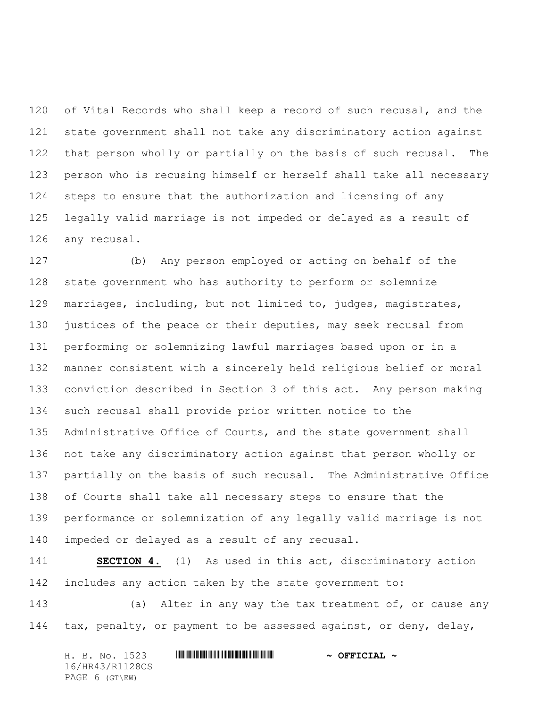120 of Vital Records who shall keep a record of such recusal, and the state government shall not take any discriminatory action against that person wholly or partially on the basis of such recusal. The person who is recusing himself or herself shall take all necessary steps to ensure that the authorization and licensing of any legally valid marriage is not impeded or delayed as a result of any recusal.

 (b) Any person employed or acting on behalf of the state government who has authority to perform or solemnize marriages, including, but not limited to, judges, magistrates, 130 justices of the peace or their deputies, may seek recusal from performing or solemnizing lawful marriages based upon or in a manner consistent with a sincerely held religious belief or moral conviction described in Section 3 of this act. Any person making such recusal shall provide prior written notice to the Administrative Office of Courts, and the state government shall not take any discriminatory action against that person wholly or partially on the basis of such recusal. The Administrative Office of Courts shall take all necessary steps to ensure that the performance or solemnization of any legally valid marriage is not impeded or delayed as a result of any recusal.

 **SECTION 4.** (1) As used in this act, discriminatory action includes any action taken by the state government to:

143 (a) Alter in any way the tax treatment of, or cause any tax, penalty, or payment to be assessed against, or deny, delay,

H. B. No. 1523 **. WALLER WEIGHT AND ALL AND A STATE OF PETCIAL ~** 16/HR43/R1128CS PAGE 6 (GT\EW)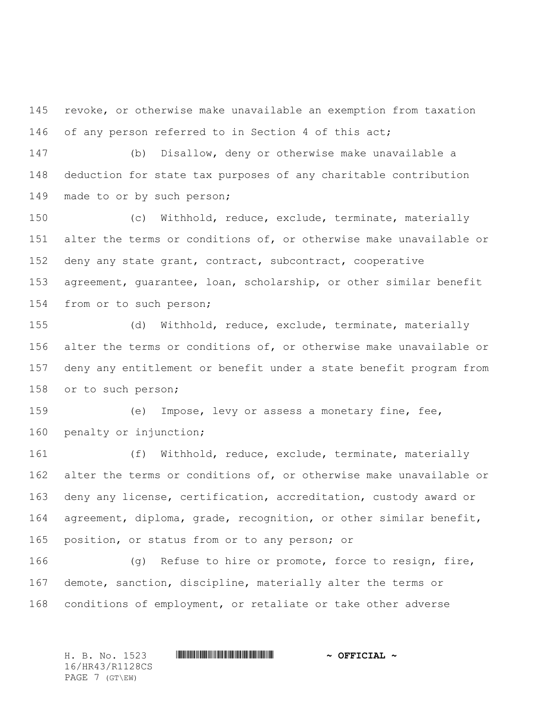revoke, or otherwise make unavailable an exemption from taxation 146 of any person referred to in Section 4 of this act;

 (b) Disallow, deny or otherwise make unavailable a deduction for state tax purposes of any charitable contribution 149 made to or by such person;

 (c) Withhold, reduce, exclude, terminate, materially alter the terms or conditions of, or otherwise make unavailable or deny any state grant, contract, subcontract, cooperative agreement, guarantee, loan, scholarship, or other similar benefit from or to such person;

 (d) Withhold, reduce, exclude, terminate, materially alter the terms or conditions of, or otherwise make unavailable or deny any entitlement or benefit under a state benefit program from or to such person;

 (e) Impose, levy or assess a monetary fine, fee, 160 penalty or injunction;

 (f) Withhold, reduce, exclude, terminate, materially alter the terms or conditions of, or otherwise make unavailable or deny any license, certification, accreditation, custody award or agreement, diploma, grade, recognition, or other similar benefit, position, or status from or to any person; or

 (g) Refuse to hire or promote, force to resign, fire, demote, sanction, discipline, materially alter the terms or conditions of employment, or retaliate or take other adverse

H. B. No. 1523 \*HR43/R1128CS\* **~ OFFICIAL ~** 16/HR43/R1128CS PAGE 7 (GT\EW)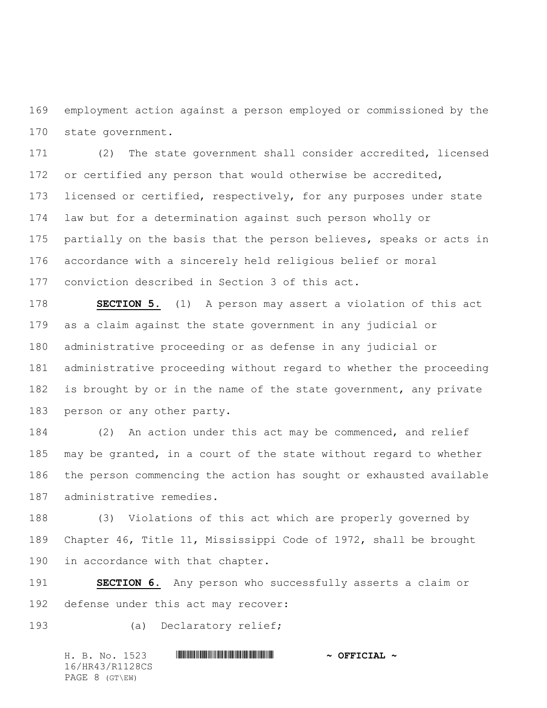employment action against a person employed or commissioned by the state government.

 (2) The state government shall consider accredited, licensed 172 or certified any person that would otherwise be accredited, 173 licensed or certified, respectively, for any purposes under state law but for a determination against such person wholly or partially on the basis that the person believes, speaks or acts in accordance with a sincerely held religious belief or moral conviction described in Section 3 of this act.

 **SECTION 5.** (1) A person may assert a violation of this act as a claim against the state government in any judicial or administrative proceeding or as defense in any judicial or administrative proceeding without regard to whether the proceeding 182 is brought by or in the name of the state government, any private person or any other party.

 (2) An action under this act may be commenced, and relief may be granted, in a court of the state without regard to whether the person commencing the action has sought or exhausted available administrative remedies.

 (3) Violations of this act which are properly governed by Chapter 46, Title 11, Mississippi Code of 1972, shall be brought in accordance with that chapter.

 **SECTION 6.** Any person who successfully asserts a claim or defense under this act may recover:

(a) Declaratory relief;

H. B. No. 1523 \*HR43/R1128CS\* **~ OFFICIAL ~** 16/HR43/R1128CS PAGE 8 (GT\EW)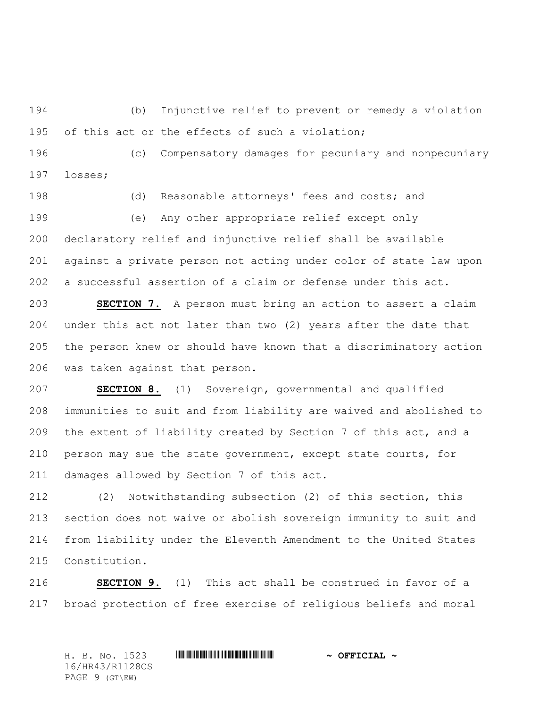(b) Injunctive relief to prevent or remedy a violation 195 of this act or the effects of such a violation;

 (c) Compensatory damages for pecuniary and nonpecuniary losses;

 (d) Reasonable attorneys' fees and costs; and (e) Any other appropriate relief except only declaratory relief and injunctive relief shall be available against a private person not acting under color of state law upon a successful assertion of a claim or defense under this act.

 **SECTION 7.** A person must bring an action to assert a claim under this act not later than two (2) years after the date that the person knew or should have known that a discriminatory action was taken against that person.

 **SECTION 8.** (1) Sovereign, governmental and qualified immunities to suit and from liability are waived and abolished to the extent of liability created by Section 7 of this act, and a person may sue the state government, except state courts, for damages allowed by Section 7 of this act.

 (2) Notwithstanding subsection (2) of this section, this section does not waive or abolish sovereign immunity to suit and from liability under the Eleventh Amendment to the United States Constitution.

 **SECTION 9.** (1) This act shall be construed in favor of a broad protection of free exercise of religious beliefs and moral

H. B. No. 1523 \*HR43/R1128CS\* **~ OFFICIAL ~** 16/HR43/R1128CS PAGE 9 (GT\EW)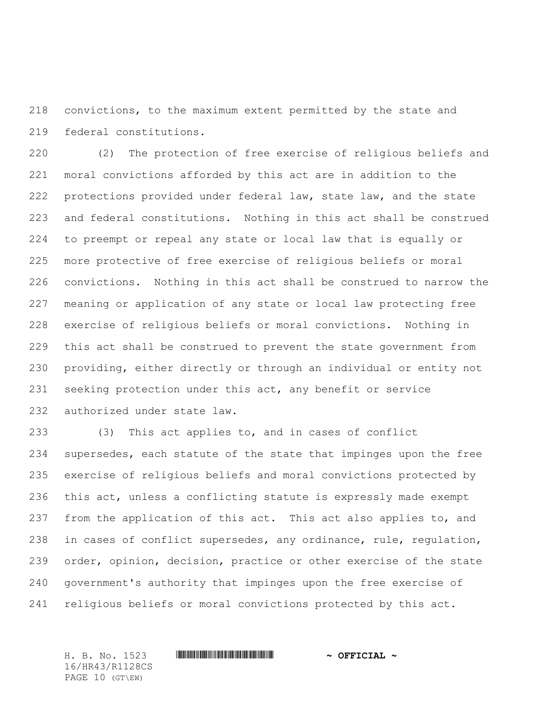convictions, to the maximum extent permitted by the state and federal constitutions.

 (2) The protection of free exercise of religious beliefs and moral convictions afforded by this act are in addition to the protections provided under federal law, state law, and the state and federal constitutions. Nothing in this act shall be construed to preempt or repeal any state or local law that is equally or more protective of free exercise of religious beliefs or moral convictions. Nothing in this act shall be construed to narrow the meaning or application of any state or local law protecting free exercise of religious beliefs or moral convictions. Nothing in this act shall be construed to prevent the state government from providing, either directly or through an individual or entity not seeking protection under this act, any benefit or service authorized under state law.

 (3) This act applies to, and in cases of conflict supersedes, each statute of the state that impinges upon the free exercise of religious beliefs and moral convictions protected by this act, unless a conflicting statute is expressly made exempt 237 from the application of this act. This act also applies to, and in cases of conflict supersedes, any ordinance, rule, regulation, order, opinion, decision, practice or other exercise of the state government's authority that impinges upon the free exercise of religious beliefs or moral convictions protected by this act.

H. B. No. 1523 \*HR43/R1128CS\* **~ OFFICIAL ~** 16/HR43/R1128CS PAGE 10 (GT\EW)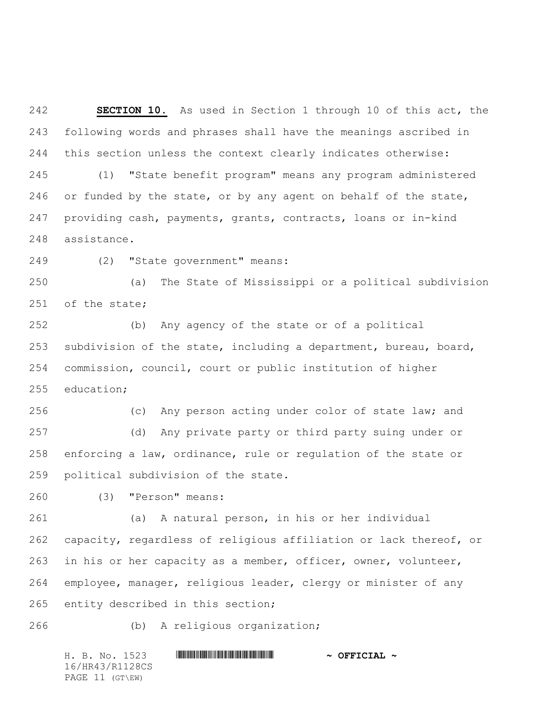**SECTION 10.** As used in Section 1 through 10 of this act, the following words and phrases shall have the meanings ascribed in this section unless the context clearly indicates otherwise: (1) "State benefit program" means any program administered 246 or funded by the state, or by any agent on behalf of the state, providing cash, payments, grants, contracts, loans or in-kind assistance.

(2) "State government" means:

 (a) The State of Mississippi or a political subdivision of the state;

 (b) Any agency of the state or of a political subdivision of the state, including a department, bureau, board, commission, council, court or public institution of higher education;

 (c) Any person acting under color of state law; and (d) Any private party or third party suing under or enforcing a law, ordinance, rule or regulation of the state or political subdivision of the state.

(3) "Person" means:

 (a) A natural person, in his or her individual capacity, regardless of religious affiliation or lack thereof, or in his or her capacity as a member, officer, owner, volunteer, employee, manager, religious leader, clergy or minister of any entity described in this section;

(b) A religious organization;

H. B. No. 1523 \*HR43/R1128CS\* **~ OFFICIAL ~** 16/HR43/R1128CS PAGE 11 (GT\EW)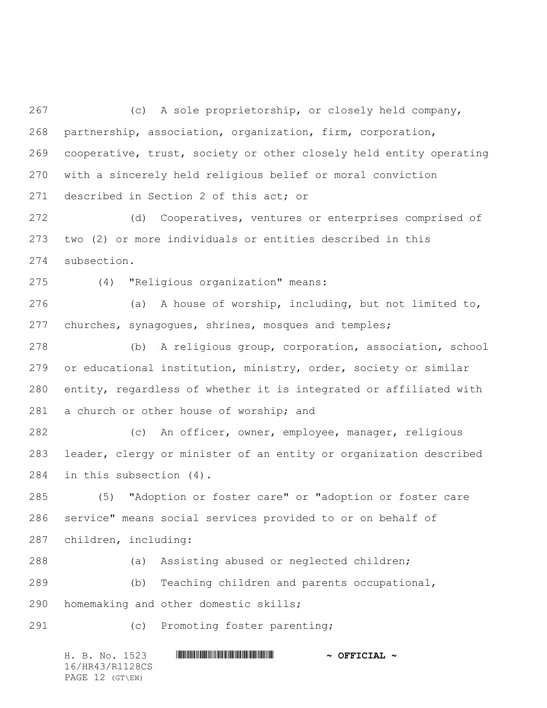(c) A sole proprietorship, or closely held company, partnership, association, organization, firm, corporation, cooperative, trust, society or other closely held entity operating with a sincerely held religious belief or moral conviction described in Section 2 of this act; or

 (d) Cooperatives, ventures or enterprises comprised of two (2) or more individuals or entities described in this subsection.

(4) "Religious organization" means:

 (a) A house of worship, including, but not limited to, churches, synagogues, shrines, mosques and temples;

 (b) A religious group, corporation, association, school or educational institution, ministry, order, society or similar entity, regardless of whether it is integrated or affiliated with 281 a church or other house of worship; and

 (c) An officer, owner, employee, manager, religious leader, clergy or minister of an entity or organization described in this subsection (4).

 (5) "Adoption or foster care" or "adoption or foster care service" means social services provided to or on behalf of children, including:

(a) Assisting abused or neglected children;

 (b) Teaching children and parents occupational, homemaking and other domestic skills;

(c) Promoting foster parenting;

H. B. No. 1523 \*HR43/R1128CS\* **~ OFFICIAL ~** 16/HR43/R1128CS PAGE 12 (GT\EW)